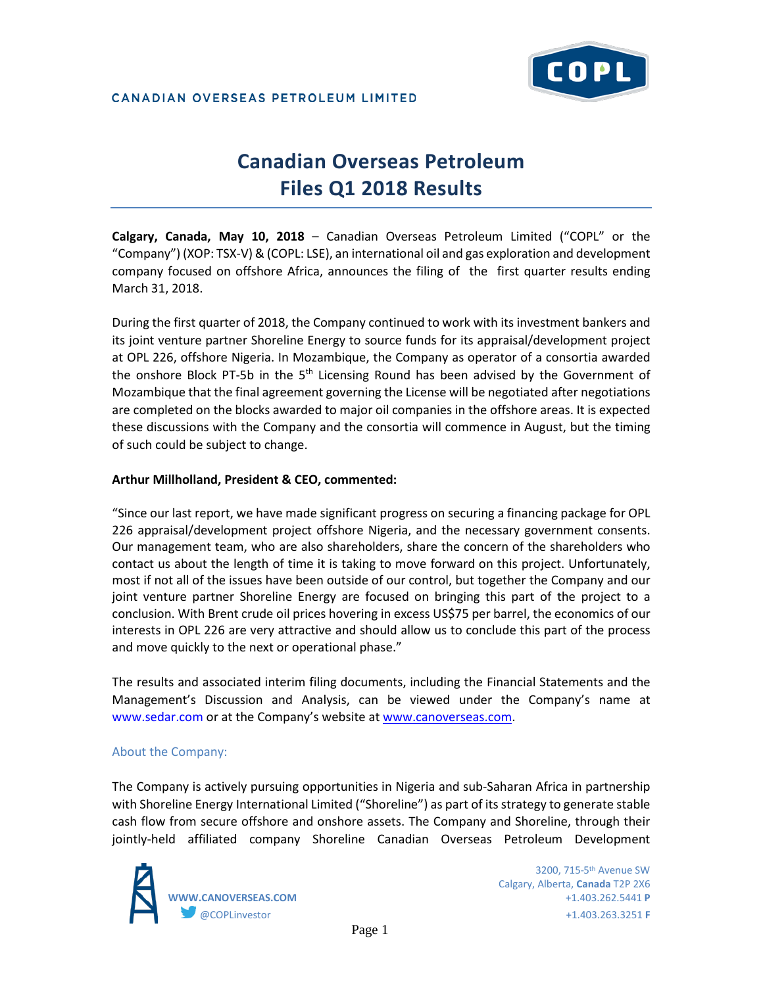

# **Canadian Overseas Petroleum Files Q1 2018 Results**

**Calgary, Canada, May 10, 2018** – Canadian Overseas Petroleum Limited ("COPL" or the "Company") (XOP: TSX-V) & (COPL: LSE), an international oil and gas exploration and development company focused on offshore Africa, announces the filing of the first quarter results ending March 31, 2018.

During the first quarter of 2018, the Company continued to work with its investment bankers and its joint venture partner Shoreline Energy to source funds for its appraisal/development project at OPL 226, offshore Nigeria. In Mozambique, the Company as operator of a consortia awarded the onshore Block PT-5b in the 5<sup>th</sup> Licensing Round has been advised by the Government of Mozambique that the final agreement governing the License will be negotiated after negotiations are completed on the blocks awarded to major oil companies in the offshore areas. It is expected these discussions with the Company and the consortia will commence in August, but the timing of such could be subject to change.

#### **Arthur Millholland, President & CEO, commented:**

"Since our last report, we have made significant progress on securing a financing package for OPL 226 appraisal/development project offshore Nigeria, and the necessary government consents. Our management team, who are also shareholders, share the concern of the shareholders who contact us about the length of time it is taking to move forward on this project. Unfortunately, most if not all of the issues have been outside of our control, but together the Company and our joint venture partner Shoreline Energy are focused on bringing this part of the project to a conclusion. With Brent crude oil prices hovering in excess US\$75 per barrel, the economics of our interests in OPL 226 are very attractive and should allow us to conclude this part of the process and move quickly to the next or operational phase."

The results and associated interim filing documents, including the Financial Statements and the Management's Discussion and Analysis, can be viewed under the Company's name at www.sedar.com or at the Company's website a[t www.canoverseas.com.](http://www.canoverseas.com/)

### About the Company:

The Company is actively pursuing opportunities in Nigeria and sub-Saharan Africa in partnership with Shoreline Energy International Limited ("Shoreline") as part of its strategy to generate stable cash flow from secure offshore and onshore assets. The Company and Shoreline, through their jointly-held affiliated company Shoreline Canadian Overseas Petroleum Development



 3200, 715-5th Avenue SW Calgary, Alberta, **Canada** T2P 2X6 **WWW.CANOVERSEAS.COM** +1.403.262.5441 **P** @COPLinvestor +1.403.263.3251 **F**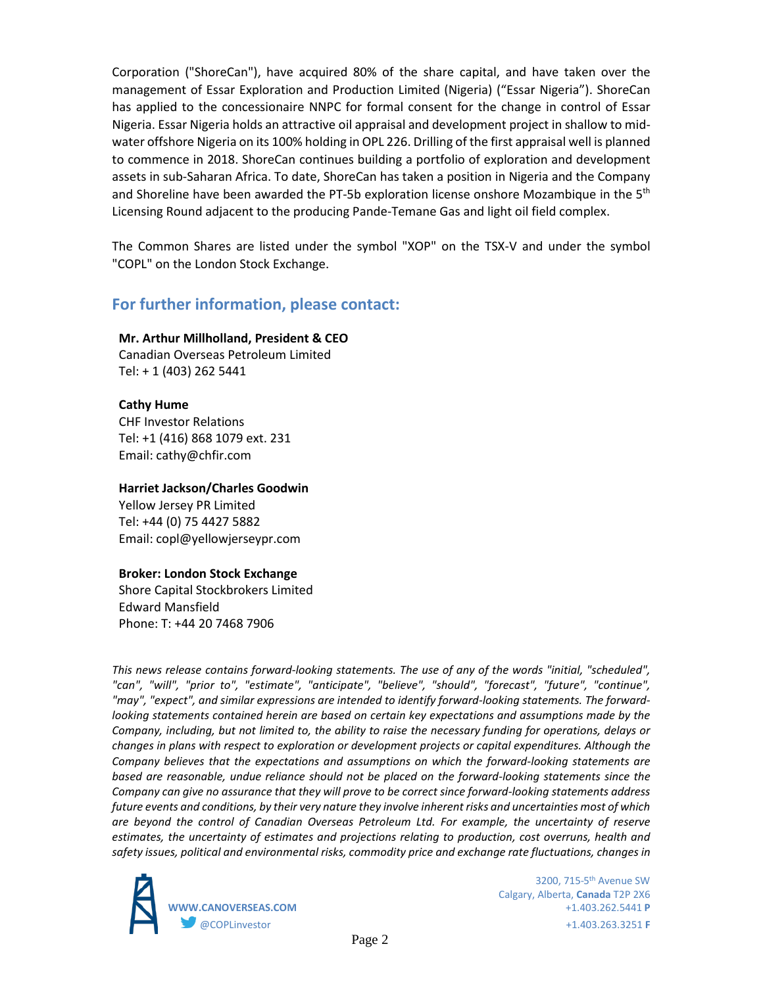Corporation ("ShoreCan"), have acquired 80% of the share capital, and have taken over the management of Essar Exploration and Production Limited (Nigeria) ("Essar Nigeria"). ShoreCan has applied to the concessionaire NNPC for formal consent for the change in control of Essar Nigeria. Essar Nigeria holds an attractive oil appraisal and development project in shallow to midwater offshore Nigeria on its 100% holding in OPL 226. Drilling of the first appraisal well is planned to commence in 2018. ShoreCan continues building a portfolio of exploration and development assets in sub-Saharan Africa. To date, ShoreCan has taken a position in Nigeria and the Company and Shoreline have been awarded the PT-5b exploration license onshore Mozambique in the  $5<sup>th</sup>$ Licensing Round adjacent to the producing Pande-Temane Gas and light oil field complex.

The Common Shares are listed under the symbol "XOP" on the TSX-V and under the symbol "COPL" on the London Stock Exchange.

## **For further information, please contact:**

#### **Mr. Arthur Millholland, President & CEO**

Canadian Overseas Petroleum Limited Tel: + 1 (403) 262 5441

#### **Cathy Hume**

CHF Investor Relations Tel: +1 (416) 868 1079 ext. 231 Email: cathy@chfir.com

#### **Harriet Jackson/Charles Goodwin**

Yellow Jersey PR Limited Tel: +44 (0) 75 4427 5882 Email: copl@yellowjerseypr.com

#### **Broker: London Stock Exchange**

Shore Capital Stockbrokers Limited Edward Mansfield Phone: T: +44 20 7468 7906

*This news release contains forward-looking statements. The use of any of the words "initial, "scheduled", "can", "will", "prior to", "estimate", "anticipate", "believe", "should", "forecast", "future", "continue", "may", "expect", and similar expressions are intended to identify forward-looking statements. The forwardlooking statements contained herein are based on certain key expectations and assumptions made by the Company, including, but not limited to, the ability to raise the necessary funding for operations, delays or changes in plans with respect to exploration or development projects or capital expenditures. Although the Company believes that the expectations and assumptions on which the forward-looking statements are based are reasonable, undue reliance should not be placed on the forward-looking statements since the Company can give no assurance that they will prove to be correct since forward-looking statements address future events and conditions, by their very nature they involve inherent risks and uncertainties most of which are beyond the control of Canadian Overseas Petroleum Ltd. For example, the uncertainty of reserve estimates, the uncertainty of estimates and projections relating to production, cost overruns, health and safety issues, political and environmental risks, commodity price and exchange rate fluctuations, changes in* 



 3200, 715-5th Avenue SW Calgary, Alberta, **Canada** T2P 2X6 **WWW.CANOVERSEAS.COM** +1.403.262.5441 **P** @COPLinvestor +1.403.263.3251 **F**